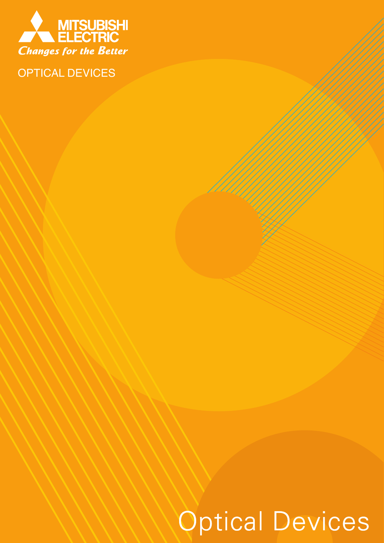

OPTICAL DEVICES

# Optical Devices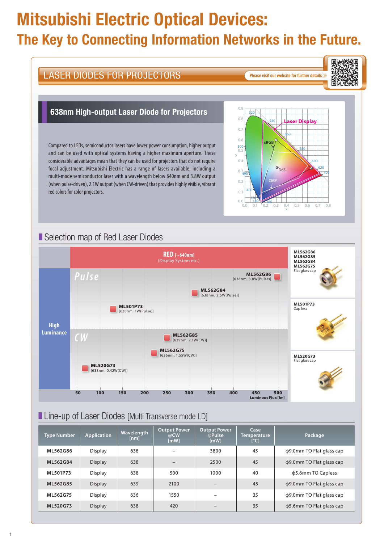## Mitsubishi Electric Optical Devices: The Key to Connecting Information Networks in the Future.

#### LASER DIODES FOR PROJECTORS LASER DIODES FOR PROJECTORS 638nm High-output Laser Diode for Projectors 0.9  $520$  $0.8$ 540 0.7 0.6 **sRGB** Compared to LEDs, semiconductor lasers have lower power consumption, higher output 0.5 500 and can be used with optical systems having a higher maximum aperture. These y considerable advantages mean that they can be used for projectors that do not require 0.4 focal adjustment. Mitsubishi Electric has a range of lasers available, including a  $0.3 - 490$ multi-mode semiconductor laser with a wavelength below 640nm and 3.8W output **CMY** 0.2 (when pulse-driven), 2.1W output (when CW-driven) that provides highly visible, vibrant red colors for color projectors. 480 0.1 470 0.0 460 380 0.1 0.2 0.3 0.4  $0.0$ ■ Selection map of Red Laser Diodes **RED [~640nm]** (Display System etc.) *Pulse* **ML562G86** [638nm, 3.8W(Pulse)] **ML562G84** Г [638nm, 2.5W(Pulse)] **ML501P73** [638nm, 1W(Pulse)]

**ML501P73** Cap less

**ML520G73** Flat glass cap

**Luminous Flux [lm]**

**ML562G86 ML562G85 ML562G84 ML562G75** Flat glass cap

<sup>x</sup> 0.5 0.6 0.7 0.8

580

**Laser Display**

560

 $\circ$ <sub>D65</sub>

700

回家游戏

ANANG

î,

叵

620 600

#### ■ Line-up of Laser Diodes [Multi Transverse mode LD]

*CW*

**High Luminance**

> **ML520G73** [638nm, 0.42W(CW)]

| <b>Type Number</b> | <b>Application</b> | Wavelength<br>[nml | <b>Output Power</b><br>@CW<br>[mW] | <b>Output Power</b><br>@Pulse<br>[mW] | Case<br><b>Temperature</b><br>$[^{\circ}C]$ | Package                  |
|--------------------|--------------------|--------------------|------------------------------------|---------------------------------------|---------------------------------------------|--------------------------|
| ML562G86           | Display            | 638                |                                    | 3800                                  | 45                                          | φ9.0mm TO Flat glass cap |
| ML562G84           | <b>Display</b>     | 638                |                                    | 2500                                  | 45                                          | φ9.0mm TO Flat glass cap |
| ML501P73           | Display            | 638                | 500                                | 1000                                  | 40                                          | \$5.6mm TO Capless       |
| ML562G85           | <b>Display</b>     | 639                | 2100                               | $\qquad \qquad -$                     | 45                                          | φ9.0mm TO Flat glass cap |
| ML562G75           | Display            | 636                | 1550                               |                                       | 35                                          | φ9.0mm TO Flat glass cap |
| ML520G73           | <b>Display</b>     | 638                | 420                                |                                       | 35                                          | φ5.6mm TO Flat glass cap |

**50 100 150 200 250 300 350 400 450 500**

**ML562G75** [636nm, 1.55W(CW)]

**ML562G85** [639nm, 2.1W(CW)]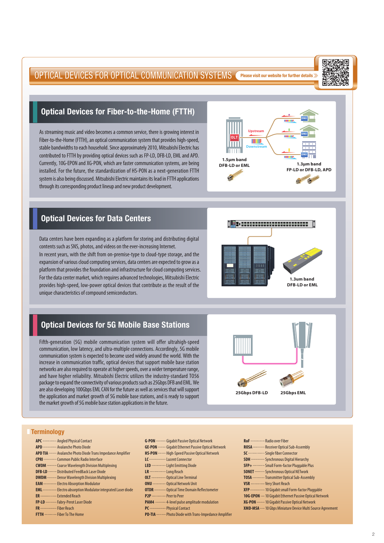#### OPTICAL DEVICES FOR OPTICAL COMMUNICATION SYSTEMS Please visit our website for further details >>>>

#### 鳳涎杯 ų Ī. 鶩

**ONU**

**ONU**

**ONU**

**1.3um band DFB-LD or EML**

**1.3µm band FP-LD or DFB-LD, APD**

#### Optical Devices for Fiber-to-the-Home (FTTH)

As streaming music and video becomes a common service, there is growing interest in Fiber-to-the-Home (FTTH), an optical communication system that provides high-speed, stable bandwidths to each household. Since approximately 2010, Mitsubishi Electric has contributed to FTTH by providing optical devices such as FP-LD, DFB-LD, EML and APD. Currently, 10G-EPON and XG-PON, which are faster communication systems, are being installed. For the future, the standardization of HS-PON as a next-generation FTTH system is also being discussed. Mitsubishi Electric maintains its lead in FTTH applications through its corresponding product lineup and new product development.



Data centers have been expanding as a platform for storing and distributing digital contents such as SNS, photos, and videos on the ever-increasing Internet. In recent years, with the shift from on-premise-type to cloud-type storage, and the expansion of various cloud computing services, data centers are expected to grow as a platform that provides the foundation and infrastructure for cloud computing services. For the data center market, which requires advanced technologies, Mitsubishi Electric provides high-speed, low-power optical devices that contribute as the result of the unique characteristics of compound semiconductors.

**OLT**

**Upstream**

**Downstream**

m

**1.5µm band DFB-LD or EML**

#### Optical Devices for 5G Mobile Base Stations

Fifth-generation (5G) mobile communication system will offer ultrahigh-speed communication, low latency, and ultra-multiple connections. Accordingly, 5G mobile communication system is expected to become used widely around the world. With the increase in communication traffic, optical devices that support mobile base station networks are also required to operate at higher speeds, over a wider temperature range, and have higher reliability. Mitsubishi Electric utilizes the industry-standard TO56 package to expand the connectivity of various products such as 25Gbps DFB and EML. We are also developing 100Gbps EML CAN for the future as well as services that will support the application and market growth of 5G mobile base stations, and is ready to support the market growth of 5G mobile base station applications in the future.



#### **Terminology**

- **APC** ............. Angled Physical Contact
- **APD** ··············· Avalanche Photo Diode
- **APD TIA** ········ Avalanche Photo Diode Trans Impedance Amplifier
- **CPRI** ·············· Common Public Radio Interface
- **CWDM** ··········· Coarse Wavelength Division Multiplexing
- **DFB-LD** ....... Distributed FeedBack Laser Diode
- **DWDM** ········· Dense Wavelength Division Multiplexing
- **EAM** ............. Electro Absorption Modulator
- **EML** ............. Electro absorption Modulator integrated Laser diode
- **ER** ---------------- Extended Reach
- **FP-LD** ············· Fabry-Perot Laser Diode
- FR ---------------- Fiber Reach
- **FTTH** Fiber To The Home
- **G-PON** ··········· Gigabit Passive Optical Network **GE-PON** - Gigabit Ethernet Passive Optical Network **HS-PON** • ········ High-Speed Passive Optical Network LC ----------------- Lucent Connector **LED .............** Light Emitting Diode **LR** Long Reach **OLT** .............. Optical Line Terminal **ONU** ·············· Optical Network Unit **OTDR** ........... Optical Time Domain Reflectometer **P2P** ················ Peer to Peer
	- **PAM4**  $\cdots$  4-level pulse amplitude modulation
	- **PC** ---------------- Physical Contact
	- **PD-TIA** ········· Photo Diode with Trans-Impedance Amplifier
- **RoF** Radio over Fiber **ROSA** ············· Receiver Optical Sub-Assembly **SC SIDED** Single fiber Connector **SDH WEDGER** Synchronous Digital Hierarchy **SFP+ •••••••••••••** Small Form-factor Pluggable Plus **SONET** ·········· Synchronous Optical NETwork **TOSA** ••••••••••••••• Transmitter Optical Sub-Assembly **VSR** ················ Very Short Reach XFP ················ 10 Gigabit small Form-factor Pluggable **10G-EPON** - 10 Gigabit Ethernet Passive Optical Network **XG-PON** - 10 Gigabit Passive Optical Network **XMD-MSA** 10 Gbps Miniature Device Multi Source Agreement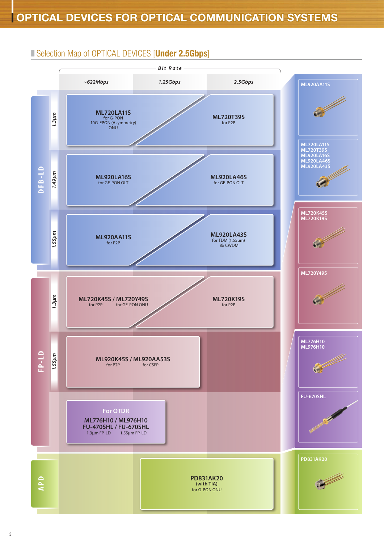#### ■ Selection Map of OPTICAL DEVICES [Under 2.5Gbps]

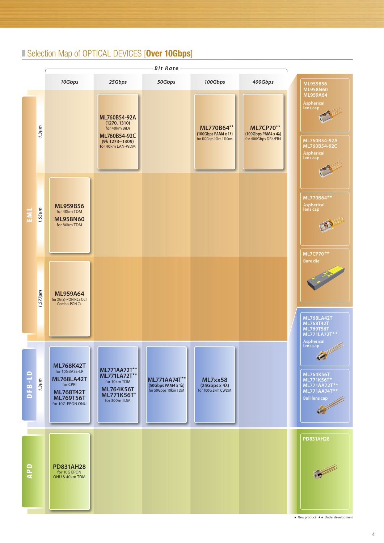#### ■ Selection Map of OPTICAL DEVICES [Over 10Gbps]

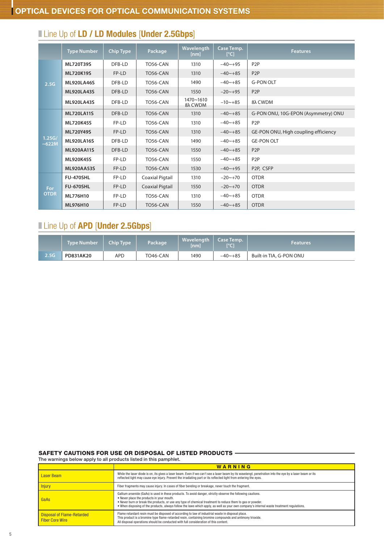|                    | <b>Type Number</b> | Chip Type | Package                | Wavelength<br>[nm]   | Case Temp.<br>[°C] | <b>Features</b>                      |
|--------------------|--------------------|-----------|------------------------|----------------------|--------------------|--------------------------------------|
| 2.5G               | ML720T39S          | DFB-LD    | <b>TO56-CAN</b>        | 1310                 | $-40 - +95$        | P <sub>2</sub> P                     |
|                    | <b>ML720K19S</b>   | FP-LD     | <b>TO56-CAN</b>        | 1310                 | $-40 - +85$        | P <sub>2</sub> P                     |
|                    | <b>ML920LA46S</b>  | DFB-LD    | <b>TO56-CAN</b>        | 1490                 | $-40 - +85$        | <b>G-PON OLT</b>                     |
|                    | <b>ML920LA43S</b>  | DFB-LD    | TO56-CAN               | 1550                 | $-20$ ~+95         | P <sub>2</sub> P                     |
|                    | <b>ML920LA43S</b>  | DFB-LD    | TO56-CAN               | 1470~1610<br>8λ CWDM | $-10$ ~+85         | 8λ CWDM                              |
|                    | <b>ML720LA11S</b>  | DFB-LD    | <b>TO56-CAN</b>        | 1310                 | $-40 - +85$        | G-PON ONU, 10G-EPON (Asymmetry) ONU  |
|                    | <b>ML720K45S</b>   | FP-LD     | <b>TO56-CAN</b>        | 1310                 | $-40 - +85$        | P <sub>2</sub> P                     |
|                    | ML720Y49S          | FP-LD     | <b>TO56-CAN</b>        | 1310                 | $-40 - +85$        | GE-PON ONU, High coupling efficiency |
| 1.25G/<br>~622M    | <b>ML920LA16S</b>  | DFB-LD    | <b>TO56-CAN</b>        | 1490                 | $-40 - +85$        | <b>GE-PON OLT</b>                    |
|                    | <b>ML920AA11S</b>  | DFB-LD    | TO56-CAN               | 1550                 | $-40 - +85$        | P <sub>2</sub> P                     |
|                    | <b>ML920K45S</b>   | FP-LD     | <b>TO56-CAN</b>        | 1550                 | $-40 - +85$        | P <sub>2</sub> P                     |
|                    | <b>ML920AA53S</b>  | FP-LD     | <b>TO56-CAN</b>        | 1530                 | $-40$ ~+95         | P2P, CSFP                            |
| For<br><b>OTDR</b> | <b>FU-470SHL</b>   | FP-LD     | Coaxial Pigtail        | 1310                 | $-20 \sim +70$     | <b>OTDR</b>                          |
|                    | <b>FU-670SHL</b>   | FP-LD     | <b>Coaxial Pigtail</b> | 1550                 | $-20$ ~+70         | <b>OTDR</b>                          |
|                    | ML776H10           | FP-LD     | <b>TO56-CAN</b>        | 1310                 | $-40 - +85$        | <b>OTDR</b>                          |
|                    | ML976H10           | FP-LD     | <b>TO56-CAN</b>        | 1550                 | $-40 - +85$        | <b>OTDR</b>                          |

## **I Line Up of LD / LD Modules [Under 2.5Gbps]**

### **Line Up of APD [Under 2.5Gbps]**

|      | <b>Type Number</b> | Chip Type | Package  | Wavelength   Case Temp.<br>[nm] | I°C1        | <b>Features</b>         |
|------|--------------------|-----------|----------|---------------------------------|-------------|-------------------------|
| 2.5G | PD831AK20          | APD       | TO46-CAN | 1490                            | $-40 - +85$ | Built-in TIA, G-PON ONU |

#### SAFETY CAUTIONS FOR USE OR DISPOSAL OF LISTED PRODUCTS

The warnings below apply to all products listed in this pamphlet.

|                                                             | WARNING                                                                                                                                                                                                                                                                                                                                                                                                              |
|-------------------------------------------------------------|----------------------------------------------------------------------------------------------------------------------------------------------------------------------------------------------------------------------------------------------------------------------------------------------------------------------------------------------------------------------------------------------------------------------|
| <b>Laser Beam</b>                                           | While the laser diode is on, its gives a laser beam. Even if we can't see a laser beam by its wavelengt, penetration into the eye by a laser beam or its<br>reflected light may cause eye injury. Prevent the irradiating part or its reflected light from entering the eyes.                                                                                                                                        |
| <b>Injury</b>                                               | Fiber fragments may cause injury. In cases of fiber bending or breakage, never touch the fragment.                                                                                                                                                                                                                                                                                                                   |
| GaAs                                                        | Gallium arsenide (GaAs) is used in these products. To avoid danger, strictly observe the following cautions.<br>. Never place the products in your mouth.<br>. Never burn or break the products, or use any type of chemical treatment to reduce them to gas or powder.<br>. When disposing of the products, always follow the laws which apply, as well as your own company's internal waste treatment requlations. |
| <b>Disposal of Flame-Retarded</b><br><b>Fiber Core Wire</b> | Flame retardant resin must be disposed of according to law of industrial waste in disposal place.<br>This product is a bromine type flame-retarded resin, containing bromine compounds and antimony trioxide.<br>All disposal operations should be conducted with full consideration of this content.                                                                                                                |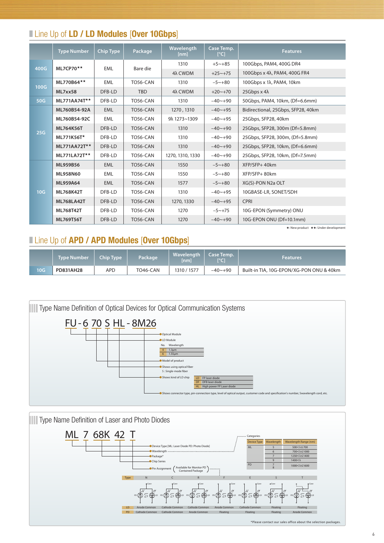#### **I** Line Up of LD / LD Modules [Over 10Gbps]

|      | <b>Type Number</b> | Chip Type  | Package         | Wavelength<br>[nm] | Case Temp.<br>$\lceil{^{\circ}C}\rceil$ | <b>Features</b>                    |
|------|--------------------|------------|-----------------|--------------------|-----------------------------------------|------------------------------------|
| 400G | $MLZCPZ0**$        | <b>EML</b> | Bare die        | 1310               | $+5 - +85$                              | 100Gbps, PAM4, 400G DR4            |
|      |                    |            |                 | 4λ CWDM            | $+25 \sim +75$                          | 100Gbps x 4λ, PAM4, 400G FR4       |
| 100G | ML770B64**         | <b>EML</b> | TO56-CAN        | 1310               | $-5 \sim +80$                           | 100Gbps x 1λ, PAM4, 10km           |
|      | ML7xx58            | DFB-LD     | <b>TBD</b>      | 4λ CWDM            | $+20$ ~ $+70$                           | 25Gbps $x$ 4 $\lambda$             |
| 50G  | $ML771AA74T**$     | DFB-LD     | <b>TO56-CAN</b> | 1310               | $-40 - +90$                             | 50Gbps, PAM4, 10km, (Df=6.6mm)     |
|      | ML760B54-92A       | <b>EML</b> | <b>TO56-CAN</b> | 1270, 1310         | $-40 - +95$                             | Bidirectional, 25Gbps, SFP28, 40km |
| 25G  | ML760B54-92C       | <b>EML</b> | TO56-CAN        | 9λ 1273~1309       | $-40$ ~+95                              | 25Gbps, SFP28, 40km                |
|      | ML764K56T          | DFB-LD     | TO56-CAN        | 1310               | $-40 - +90$                             | 25Gbps, SFP28, 300m (Df=5.8mm)     |
|      | ML771K56T*         | DFB-LD     | TO56-CAN        | 1310               | $-40 - +90$                             | 25Gbps, SFP28, 300m, (Df=5.8mm)    |
|      | $ML771AA72T**$     | DFB-LD     | TO56-CAN        | 1310               | $-40 - +90$                             | 25Gbps, SFP28, 10km, (Df=6.6mm)    |
|      | $ML771LA72T**$     | DFB-LD     | TO56-CAN        | 1270, 1310, 1330   | $-40 - +90$                             | 25Gbps, SFP28, 10km, (Df=7.5mm)    |
| 10G  | <b>ML959B56</b>    | <b>EML</b> | <b>TO56-CAN</b> | 1550               | $-5 \sim +80$                           | XFP/SFP+ 40km                      |
|      | ML958N60           | <b>EML</b> | TO56-CAN        | 1550               | $-5 \sim +80$                           | XFP/SFP+80km                       |
|      | ML959A64           | <b>EML</b> | TO56-CAN        | 1577               | $-5 \sim +80$                           | XG(S)-PON N2a OLT                  |
|      | ML768K42T          | DFB-LD     | TO56-CAN        | 1310               | $-40$ ~+95                              | 10GBASE-LR, SONET/SDH              |
|      | <b>ML768LA42T</b>  | DFB-LD     | <b>TO56-CAN</b> | 1270, 1330         | $-40 - +95$                             | <b>CPRI</b>                        |
|      | ML768T42T          | DFB-LD     | TO56-CAN        | 1270               | $-5 \sim +75$                           | 10G-EPON (Symmetry) ONU            |
|      | ML769T56T          | DFB-LD     | <b>TO56-CAN</b> | 1270               | $-40 - +90$                             | 10G-EPON ONU (Df=10.1mm)           |

★: New product ★★: Under development

#### **Line Up of APD / APD Modules [Over 10Gbps]**

|                 | Tvpe Number | <b>Chip Type</b> | Package  | <b>Wavelength</b><br>[nm] | Case Temp.<br>[°C] | <b>Features</b>                          |
|-----------------|-------------|------------------|----------|---------------------------|--------------------|------------------------------------------|
| 10 <sub>G</sub> | PD831AH28   | APD              | TO46-CAN | 1310 / 1577               | $-40 - +90$        | Built-in TIA, 10G-EPON/XG-PON ONU & 40km |